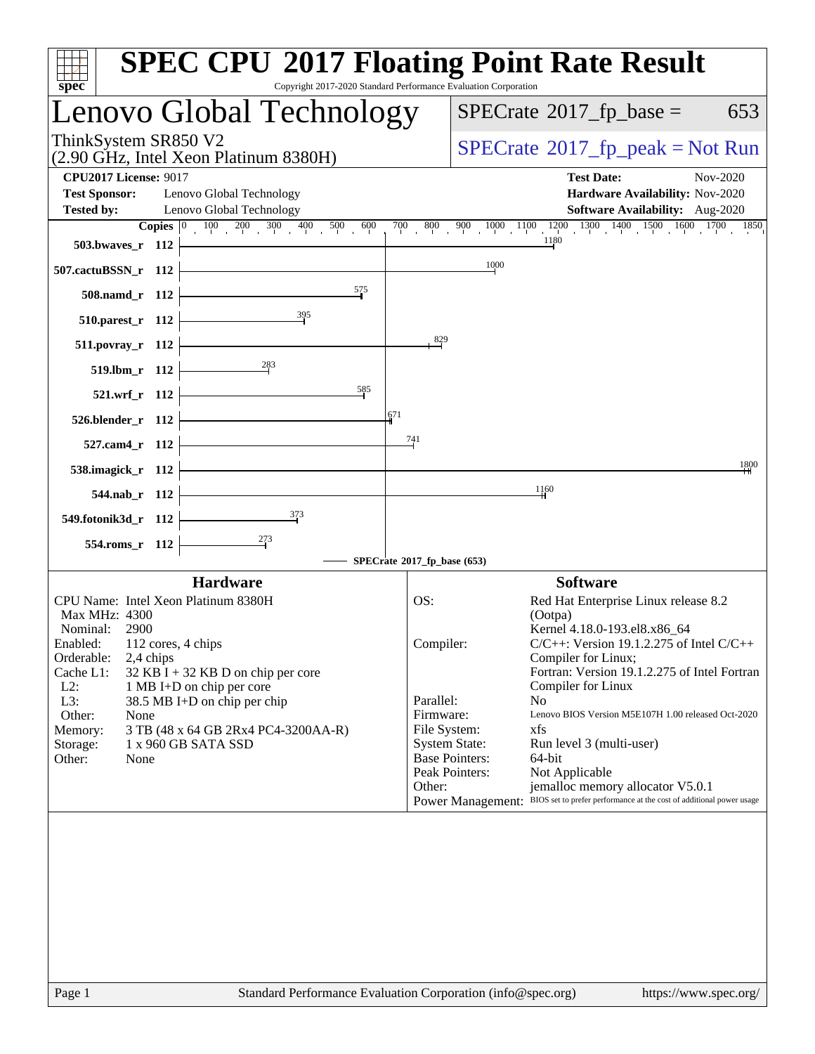| $spec^*$                                                                            | <b>SPEC CPU®2017 Floating Point Rate Result</b><br>Copyright 2017-2020 Standard Performance Evaluation Corporation                                                                                                                                                          |
|-------------------------------------------------------------------------------------|-----------------------------------------------------------------------------------------------------------------------------------------------------------------------------------------------------------------------------------------------------------------------------|
| Lenovo Global Technology                                                            | $SPECrate^{\circ}2017$ _fp_base =<br>653                                                                                                                                                                                                                                    |
| ThinkSystem SR850 V2<br>(2.90 GHz, Intel Xeon Platinum 8380H)                       | $SPECrate^{\circ}2017$ [p_peak = Not Run                                                                                                                                                                                                                                    |
| <b>CPU2017 License: 9017</b>                                                        | <b>Test Date:</b><br>Nov-2020                                                                                                                                                                                                                                               |
| <b>Test Sponsor:</b><br>Lenovo Global Technology                                    | Hardware Availability: Nov-2020                                                                                                                                                                                                                                             |
| Lenovo Global Technology<br><b>Tested by:</b>                                       | <b>Software Availability:</b> Aug-2020                                                                                                                                                                                                                                      |
| <b>Copies</b> $\begin{bmatrix} 0 & 100 & 200 & 300 & 400 & 500 & 600 \end{bmatrix}$ | $\frac{800}{100}$ $\frac{900}{100}$ $\frac{1000}{100}$ $\frac{1100}{100}$ $\frac{1200}{100}$ $\frac{1300}{100}$ $\frac{1400}{100}$ $\frac{1500}{100}$ $\frac{1600}{100}$ $\frac{1700}{1850}$<br>700<br>$\begin{bmatrix} 0 & \cdots & \cdots & \cdots \end{bmatrix}$<br>1180 |
| 503.bwaves_r 112                                                                    |                                                                                                                                                                                                                                                                             |
| 507.cactuBSSN_r 112                                                                 | 1000                                                                                                                                                                                                                                                                        |
| $\frac{575}{2}$<br>508.namd_r 112                                                   |                                                                                                                                                                                                                                                                             |
| $510.parest_r$ 112                                                                  |                                                                                                                                                                                                                                                                             |
| $511. povray_r 112$                                                                 | $\frac{829}{5}$                                                                                                                                                                                                                                                             |
| 519.lbm_r 112                                                                       |                                                                                                                                                                                                                                                                             |
| 585<br>521.wrf_r 112                                                                |                                                                                                                                                                                                                                                                             |
| 526.blender_r 112                                                                   | 671                                                                                                                                                                                                                                                                         |
| 527.cam4_r 112                                                                      | 741                                                                                                                                                                                                                                                                         |
| 538.imagick_r 112                                                                   | 1800                                                                                                                                                                                                                                                                        |
| 544.nab_r 112                                                                       | 1160                                                                                                                                                                                                                                                                        |
| 549.fotonik3d_r 112                                                                 |                                                                                                                                                                                                                                                                             |
| 554.roms_r 112                                                                      |                                                                                                                                                                                                                                                                             |
|                                                                                     | SPECrate®2017_fp_base (653)                                                                                                                                                                                                                                                 |
| <b>Hardware</b>                                                                     | <b>Software</b>                                                                                                                                                                                                                                                             |
| CPU Name: Intel Xeon Platinum 8380H                                                 | Red Hat Enterprise Linux release 8.2<br>OS:                                                                                                                                                                                                                                 |
| Max MHz: 4300                                                                       | (Ootpa)                                                                                                                                                                                                                                                                     |
| Nominal:<br>2900                                                                    | Kernel 4.18.0-193.el8.x86_64                                                                                                                                                                                                                                                |
| Enabled: 112 cores, 4 chips<br>2,4 chips<br>Orderable:                              | $C/C++$ : Version 19.1.2.275 of Intel $C/C++$<br>Compiler:<br>Compiler for Linux;                                                                                                                                                                                           |
| Cache L1:<br>$32$ KB I + 32 KB D on chip per core                                   | Fortran: Version 19.1.2.275 of Intel Fortran                                                                                                                                                                                                                                |
| $L2$ :<br>1 MB I+D on chip per core                                                 | Compiler for Linux                                                                                                                                                                                                                                                          |
| L3:<br>38.5 MB I+D on chip per chip<br>Other:<br>None                               | Parallel:<br>N <sub>o</sub><br>Firmware:<br>Lenovo BIOS Version M5E107H 1.00 released Oct-2020                                                                                                                                                                              |
| Memory:<br>3 TB (48 x 64 GB 2Rx4 PC4-3200AA-R)                                      | File System:<br>xfs                                                                                                                                                                                                                                                         |
| 1 x 960 GB SATA SSD<br>Storage:                                                     | <b>System State:</b><br>Run level 3 (multi-user)                                                                                                                                                                                                                            |
| Other:<br>None                                                                      | <b>Base Pointers:</b><br>64-bit<br>Peak Pointers:<br>Not Applicable                                                                                                                                                                                                         |
|                                                                                     | Other:<br>jemalloc memory allocator V5.0.1                                                                                                                                                                                                                                  |
|                                                                                     | BIOS set to prefer performance at the cost of additional power usage<br><b>Power Management:</b>                                                                                                                                                                            |
|                                                                                     |                                                                                                                                                                                                                                                                             |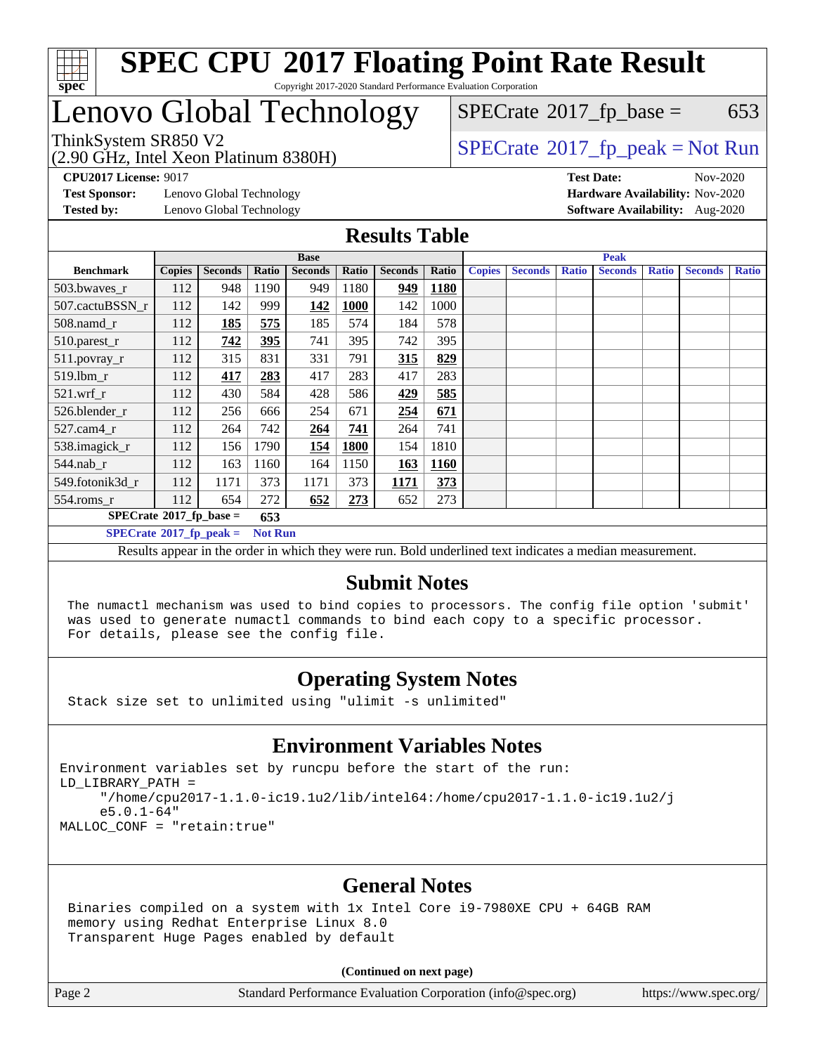

## Lenovo Global Technology

(2.90 GHz, Intel Xeon Platinum 8380H)

 $SPECTate$ <sup>®</sup>[2017\\_fp\\_base =](http://www.spec.org/auto/cpu2017/Docs/result-fields.html#SPECrate2017fpbase) 653

ThinkSystem SR850 V2<br>  $\begin{array}{c}\n\text{SPECTate} \textcircled{2017\_fp\_peak} = \text{Not Run} \\
\text{SPECTate} \textcircled{2017\_fp\_peak} = \text{Not Run} \\
\end{array}$ 

**[CPU2017 License:](http://www.spec.org/auto/cpu2017/Docs/result-fields.html#CPU2017License)** 9017 **[Test Date:](http://www.spec.org/auto/cpu2017/Docs/result-fields.html#TestDate)** Nov-2020

**[Test Sponsor:](http://www.spec.org/auto/cpu2017/Docs/result-fields.html#TestSponsor)** Lenovo Global Technology **[Hardware Availability:](http://www.spec.org/auto/cpu2017/Docs/result-fields.html#HardwareAvailability)** Nov-2020

**[Tested by:](http://www.spec.org/auto/cpu2017/Docs/result-fields.html#Testedby)** Lenovo Global Technology **[Software Availability:](http://www.spec.org/auto/cpu2017/Docs/result-fields.html#SoftwareAvailability)** Aug-2020

**[Results Table](http://www.spec.org/auto/cpu2017/Docs/result-fields.html#ResultsTable)**

|                                                    | <b>Base</b>   |                |       |                |             | <b>Peak</b>    |             |               |                |              |                |              |                |              |
|----------------------------------------------------|---------------|----------------|-------|----------------|-------------|----------------|-------------|---------------|----------------|--------------|----------------|--------------|----------------|--------------|
| <b>Benchmark</b>                                   | <b>Copies</b> | <b>Seconds</b> | Ratio | <b>Seconds</b> | Ratio       | <b>Seconds</b> | Ratio       | <b>Copies</b> | <b>Seconds</b> | <b>Ratio</b> | <b>Seconds</b> | <b>Ratio</b> | <b>Seconds</b> | <b>Ratio</b> |
| 503.bwayes r                                       | 112           | 948            | 1190  | 949            | 1180        | 949            | <b>1180</b> |               |                |              |                |              |                |              |
| 507.cactuBSSN r                                    | 112           | 142            | 999   | 142            | <b>1000</b> | 142            | 1000        |               |                |              |                |              |                |              |
| $508$ .namd $r$                                    | 112           | 185            | 575   | 185            | 574         | 184            | 578         |               |                |              |                |              |                |              |
| 510.parest_r                                       | 112           | 742            | 395   | 741            | 395         | 742            | 395         |               |                |              |                |              |                |              |
| 511.povray_r                                       | 112           | 315            | 831   | 331            | 791         | 315            | 829         |               |                |              |                |              |                |              |
| 519.lbm r                                          | 112           | 417            | 283   | 417            | 283         | 417            | 283         |               |                |              |                |              |                |              |
| $521$ .wrf r                                       | 112           | 430            | 584   | 428            | 586         | 429            | 585         |               |                |              |                |              |                |              |
| 526.blender r                                      | 112           | 256            | 666   | 254            | 671         | 254            | 671         |               |                |              |                |              |                |              |
| $527$ .cam $4r$                                    | 112           | 264            | 742   | 264            | 741         | 264            | 741         |               |                |              |                |              |                |              |
| 538.imagick_r                                      | 112           | 156            | 1790  | 154            | 1800        | 154            | 1810        |               |                |              |                |              |                |              |
| $544$ .nab_r                                       | 112           | 163            | 1160  | 164            | 1150        | 163            | 1160        |               |                |              |                |              |                |              |
| 549.fotonik3d r                                    | 112           | 1171           | 373   | 1171           | 373         | 1171           | 373         |               |                |              |                |              |                |              |
| $554$ .roms_r                                      | 112           | 654            | 272   | 652            | 273         | 652            | 273         |               |                |              |                |              |                |              |
| $SPECrate*2017_fp\_base =$<br>653                  |               |                |       |                |             |                |             |               |                |              |                |              |                |              |
| $SPECrate^{\circ}2017$ fp peak =<br><b>Not Run</b> |               |                |       |                |             |                |             |               |                |              |                |              |                |              |

Results appear in the [order in which they were run](http://www.spec.org/auto/cpu2017/Docs/result-fields.html#RunOrder). Bold underlined text [indicates a median measurement.](http://www.spec.org/auto/cpu2017/Docs/result-fields.html#Median)

#### **[Submit Notes](http://www.spec.org/auto/cpu2017/Docs/result-fields.html#SubmitNotes)**

 The numactl mechanism was used to bind copies to processors. The config file option 'submit' was used to generate numactl commands to bind each copy to a specific processor. For details, please see the config file.

### **[Operating System Notes](http://www.spec.org/auto/cpu2017/Docs/result-fields.html#OperatingSystemNotes)**

Stack size set to unlimited using "ulimit -s unlimited"

### **[Environment Variables Notes](http://www.spec.org/auto/cpu2017/Docs/result-fields.html#EnvironmentVariablesNotes)**

Environment variables set by runcpu before the start of the run: LD\_LIBRARY\_PATH = "/home/cpu2017-1.1.0-ic19.1u2/lib/intel64:/home/cpu2017-1.1.0-ic19.1u2/j e5.0.1-64" MALLOC\_CONF = "retain:true"

### **[General Notes](http://www.spec.org/auto/cpu2017/Docs/result-fields.html#GeneralNotes)**

 Binaries compiled on a system with 1x Intel Core i9-7980XE CPU + 64GB RAM memory using Redhat Enterprise Linux 8.0 Transparent Huge Pages enabled by default

#### **(Continued on next page)**

Page 2 Standard Performance Evaluation Corporation [\(info@spec.org\)](mailto:info@spec.org) <https://www.spec.org/>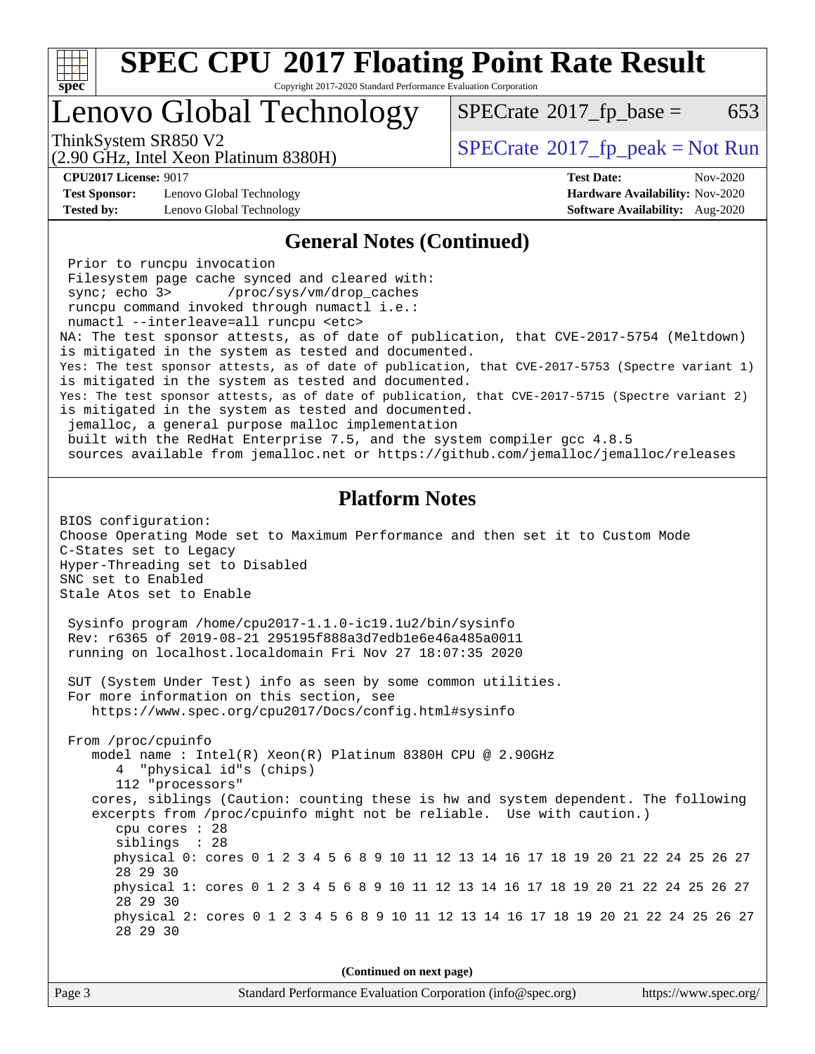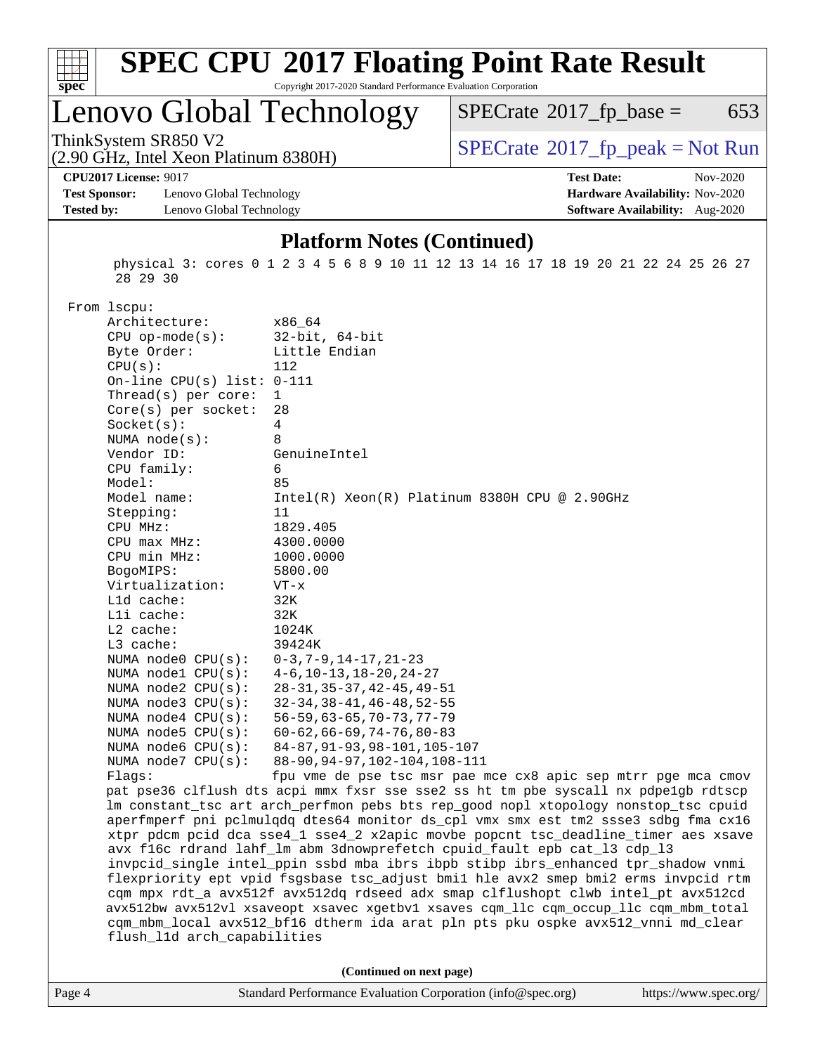

# **[SPEC CPU](http://www.spec.org/auto/cpu2017/Docs/result-fields.html#SPECCPU2017FloatingPointRateResult)[2017 Floating Point Rate Result](http://www.spec.org/auto/cpu2017/Docs/result-fields.html#SPECCPU2017FloatingPointRateResult)**

Copyright 2017-2020 Standard Performance Evaluation Corporation

### Lenovo Global Technology

 $SPECTate@2017_fp\_base = 653$ 

(2.90 GHz, Intel Xeon Platinum 8380H)

ThinkSystem SR850 V2<br>  $(2.90 \text{ GHz})$  Intel Xeon Platinum 8380H) [SPECrate](http://www.spec.org/auto/cpu2017/Docs/result-fields.html#SPECrate2017fppeak)®[2017\\_fp\\_peak = N](http://www.spec.org/auto/cpu2017/Docs/result-fields.html#SPECrate2017fppeak)ot Run

**[CPU2017 License:](http://www.spec.org/auto/cpu2017/Docs/result-fields.html#CPU2017License)** 9017 **[Test Date:](http://www.spec.org/auto/cpu2017/Docs/result-fields.html#TestDate)** Nov-2020

**[Test Sponsor:](http://www.spec.org/auto/cpu2017/Docs/result-fields.html#TestSponsor)** Lenovo Global Technology **[Hardware Availability:](http://www.spec.org/auto/cpu2017/Docs/result-fields.html#HardwareAvailability)** Nov-2020 **[Tested by:](http://www.spec.org/auto/cpu2017/Docs/result-fields.html#Testedby)** Lenovo Global Technology **[Software Availability:](http://www.spec.org/auto/cpu2017/Docs/result-fields.html#SoftwareAvailability)** Aug-2020

#### **[Platform Notes \(Continued\)](http://www.spec.org/auto/cpu2017/Docs/result-fields.html#PlatformNotes)**

 physical 3: cores 0 1 2 3 4 5 6 8 9 10 11 12 13 14 16 17 18 19 20 21 22 24 25 26 27 28 29 30

From lscpu:

| Architecture:                | x86_64                                                                               |
|------------------------------|--------------------------------------------------------------------------------------|
| $CPU$ op-mode( $s$ ):        | $32$ -bit, $64$ -bit                                                                 |
| Byte Order:                  | Little Endian                                                                        |
| CPU(s):                      | 112                                                                                  |
| On-line CPU(s) list: $0-111$ |                                                                                      |
| Thread( $s$ ) per core:      | $\mathbf{1}$                                                                         |
| $Core(s)$ per socket:        | 28                                                                                   |
| Socket(s):                   | 4                                                                                    |
| NUMA node(s):                | 8                                                                                    |
| Vendor ID:                   | GenuineIntel                                                                         |
| CPU family:                  | 6                                                                                    |
| Model:                       | 85                                                                                   |
| Model name:                  | $Intel(R)$ Xeon $(R)$ Platinum 8380H CPU @ 2.90GHz                                   |
| Stepping:                    | 11                                                                                   |
| CPU MHz:                     | 1829.405                                                                             |
| CPU max MHz:                 | 4300.0000                                                                            |
| CPU min MHz:                 | 1000.0000                                                                            |
| BogoMIPS:                    | 5800.00                                                                              |
| Virtualization:              | $VT - x$                                                                             |
| L1d cache:                   | 32K                                                                                  |
| Lli cache:                   | 32K                                                                                  |
| $L2$ cache:                  | 1024K                                                                                |
| L3 cache:                    | 39424K                                                                               |
| NUMA $node0$ $CPU(s):$       | $0-3, 7-9, 14-17, 21-23$                                                             |
| NUMA nodel CPU(s):           | $4-6$ , $10-13$ , $18-20$ , $24-27$                                                  |
| NUMA node2 CPU(s):           | $28 - 31, 35 - 37, 42 - 45, 49 - 51$                                                 |
| NUMA node3 CPU(s):           | $32 - 34, 38 - 41, 46 - 48, 52 - 55$                                                 |
| NUMA $node4$ CPU $(s)$ :     | $56 - 59, 63 - 65, 70 - 73, 77 - 79$                                                 |
| NUMA node5 CPU(s):           | $60 - 62, 66 - 69, 74 - 76, 80 - 83$                                                 |
| NUMA $node6$ CPU $(s)$ :     | 84-87, 91-93, 98-101, 105-107                                                        |
| NUMA $node7$ CPU $(s)$ :     | 88-90, 94-97, 102-104, 108-111                                                       |
| Flags:                       | fpu vme de pse tsc msr pae mce cx8 apic sep mtrr pge mca cmov                        |
|                              | pat pse36 clflush dts acpi mmx fxsr sse sse2 ss ht tm pbe syscall nx pdpelgb rdtscp  |
|                              | lm constant_tsc art arch_perfmon pebs bts rep_good nopl xtopology nonstop_tsc cpuid  |
|                              | aperfmperf pni pclmulqdq dtes64 monitor ds_cpl vmx smx est tm2 ssse3 sdbg fma cx16   |
|                              | xtpr pdcm pcid dca sse4_1 sse4_2 x2apic movbe popcnt tsc_deadline_timer aes xsave    |
|                              | avx f16c rdrand lahf_lm abm 3dnowprefetch cpuid_fault epb cat_13 cdp_13              |
|                              | invpcid_single intel_ppin ssbd mba ibrs ibpb stibp ibrs_enhanced tpr_shadow vnmi     |
|                              | flexpriority ept vpid fsgsbase tsc_adjust bmil hle avx2 smep bmi2 erms invpcid rtm   |
|                              | cqm mpx rdt_a avx512f avx512dq rdseed adx smap clflushopt clwb intel_pt avx512cd     |
|                              | avx512bw avx512vl xsaveopt xsavec xgetbvl xsaves cqm_llc cqm_occup_llc cqm_mbm_total |
|                              | cqm_mbm_local avx512_bf16 dtherm ida arat pln pts pku ospke avx512_vnni md_clear     |
| flush_l1d arch_capabilities  |                                                                                      |
|                              |                                                                                      |
|                              | (Continued on next page)                                                             |
|                              |                                                                                      |

|  | Page 4 | Standard Performance Evaluation Corporation (info@spec.org) | https://www.spec.org/ |
|--|--------|-------------------------------------------------------------|-----------------------|
|--|--------|-------------------------------------------------------------|-----------------------|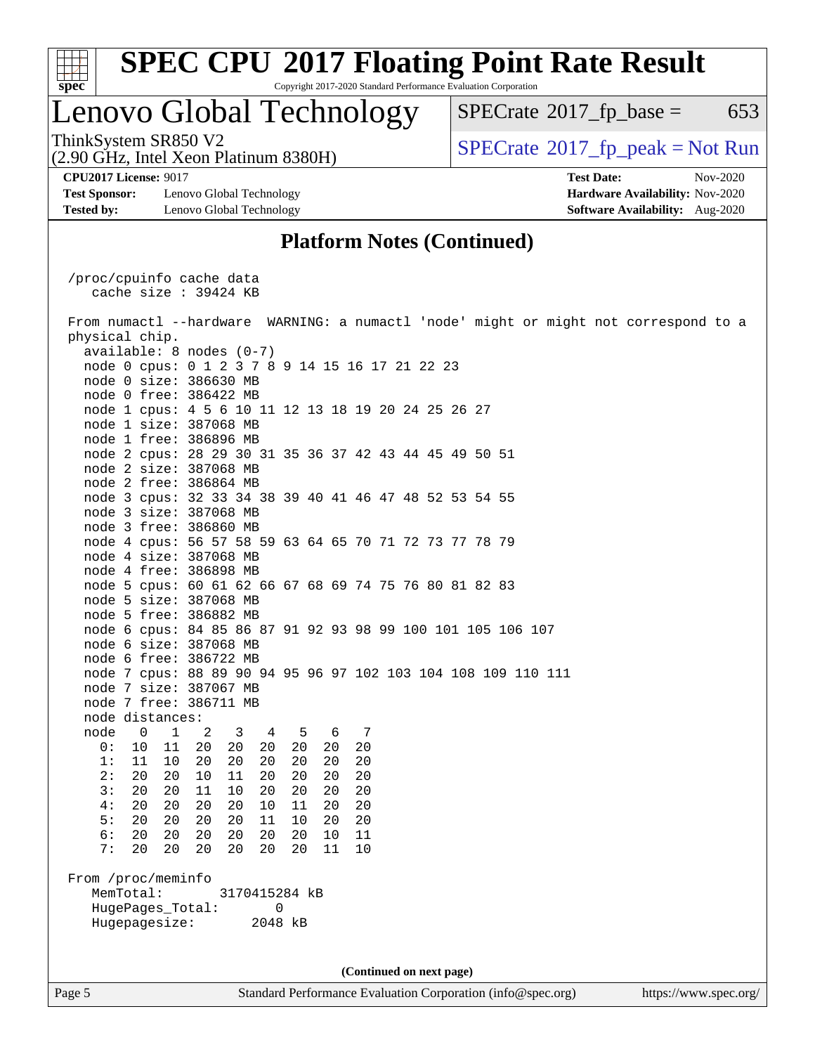

### Lenovo Global Technology

 $SPECTate@2017_fp\_base = 653$ 

(2.90 GHz, Intel Xeon Platinum 8380H) ThinkSystem SR850 V2<br>(2.90 GHz, Intel Xeon Platinum 8380H)  $\vert$  [SPECrate](http://www.spec.org/auto/cpu2017/Docs/result-fields.html#SPECrate2017fppeak)®[2017\\_fp\\_peak = N](http://www.spec.org/auto/cpu2017/Docs/result-fields.html#SPECrate2017fppeak)ot Run

**[Test Sponsor:](http://www.spec.org/auto/cpu2017/Docs/result-fields.html#TestSponsor)** Lenovo Global Technology **[Hardware Availability:](http://www.spec.org/auto/cpu2017/Docs/result-fields.html#HardwareAvailability)** Nov-2020 **[Tested by:](http://www.spec.org/auto/cpu2017/Docs/result-fields.html#Testedby)** Lenovo Global Technology **[Software Availability:](http://www.spec.org/auto/cpu2017/Docs/result-fields.html#SoftwareAvailability)** Aug-2020

**[CPU2017 License:](http://www.spec.org/auto/cpu2017/Docs/result-fields.html#CPU2017License)** 9017 **[Test Date:](http://www.spec.org/auto/cpu2017/Docs/result-fields.html#TestDate)** Nov-2020

#### **[Platform Notes \(Continued\)](http://www.spec.org/auto/cpu2017/Docs/result-fields.html#PlatformNotes)**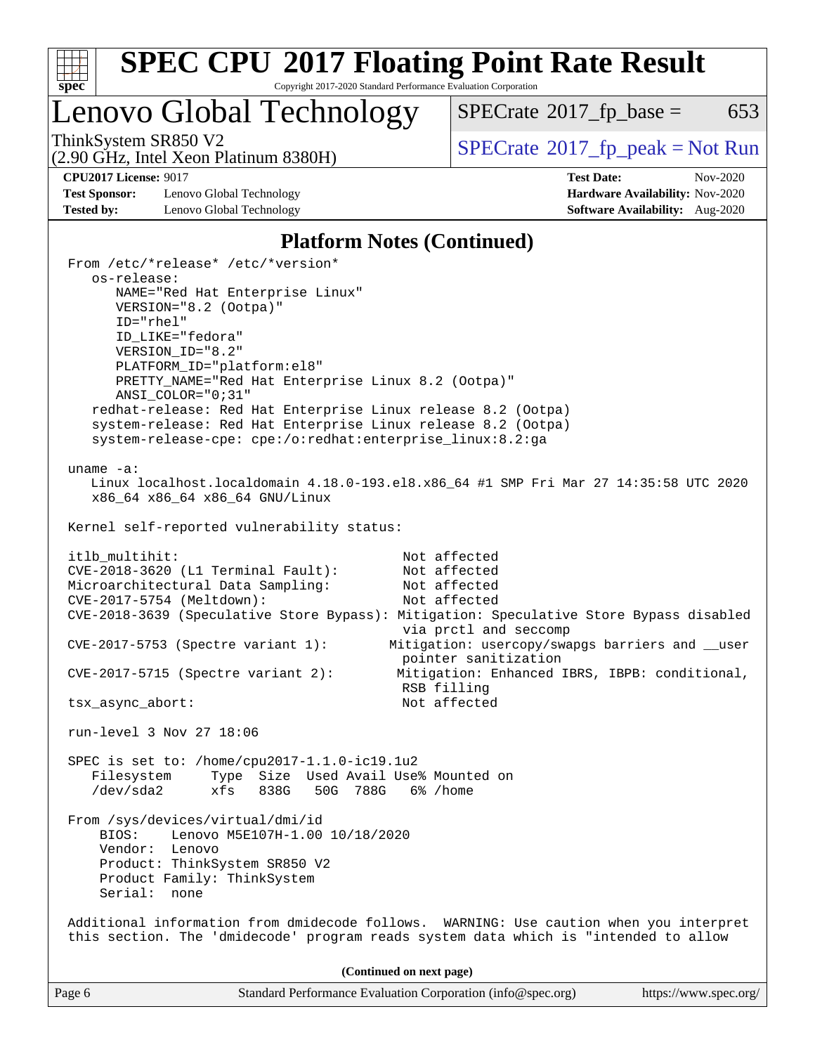

## **[SPEC CPU](http://www.spec.org/auto/cpu2017/Docs/result-fields.html#SPECCPU2017FloatingPointRateResult)[2017 Floating Point Rate Result](http://www.spec.org/auto/cpu2017/Docs/result-fields.html#SPECCPU2017FloatingPointRateResult)**

Copyright 2017-2020 Standard Performance Evaluation Corporation

Lenovo Global Technology

 $SPECTate@2017_fp\_base = 653$ 

(2.90 GHz, Intel Xeon Platinum 8380H)

**[CPU2017 License:](http://www.spec.org/auto/cpu2017/Docs/result-fields.html#CPU2017License)** 9017 **[Test Date:](http://www.spec.org/auto/cpu2017/Docs/result-fields.html#TestDate)** Nov-2020

**[Test Sponsor:](http://www.spec.org/auto/cpu2017/Docs/result-fields.html#TestSponsor)** Lenovo Global Technology **[Hardware Availability:](http://www.spec.org/auto/cpu2017/Docs/result-fields.html#HardwareAvailability)** Nov-2020 **[Tested by:](http://www.spec.org/auto/cpu2017/Docs/result-fields.html#Testedby)** Lenovo Global Technology **[Software Availability:](http://www.spec.org/auto/cpu2017/Docs/result-fields.html#SoftwareAvailability)** Aug-2020

ThinkSystem SR850 V2<br>  $(2.90 \text{ GHz})$  Intel Xeon Platinum 8380H) [SPECrate](http://www.spec.org/auto/cpu2017/Docs/result-fields.html#SPECrate2017fppeak)®[2017\\_fp\\_peak = N](http://www.spec.org/auto/cpu2017/Docs/result-fields.html#SPECrate2017fppeak)ot Run

#### **[Platform Notes \(Continued\)](http://www.spec.org/auto/cpu2017/Docs/result-fields.html#PlatformNotes)**

| From /etc/*release* /etc/*version*<br>os-release:                                 |                                                                                                                                                                               |
|-----------------------------------------------------------------------------------|-------------------------------------------------------------------------------------------------------------------------------------------------------------------------------|
| NAME="Red Hat Enterprise Linux"                                                   |                                                                                                                                                                               |
| VERSION="8.2 (Ootpa)"                                                             |                                                                                                                                                                               |
| $ID="rhe1"$                                                                       |                                                                                                                                                                               |
| ID_LIKE="fedora"                                                                  |                                                                                                                                                                               |
| VERSION_ID="8.2"                                                                  |                                                                                                                                                                               |
| PLATFORM_ID="platform:el8"                                                        |                                                                                                                                                                               |
| PRETTY_NAME="Red Hat Enterprise Linux 8.2 (Ootpa)"                                |                                                                                                                                                                               |
| ANSI COLOR="0;31"<br>redhat-release: Red Hat Enterprise Linux release 8.2 (Ootpa) |                                                                                                                                                                               |
| system-release: Red Hat Enterprise Linux release 8.2 (Ootpa)                      |                                                                                                                                                                               |
| system-release-cpe: cpe:/o:redhat:enterprise_linux:8.2:ga                         |                                                                                                                                                                               |
|                                                                                   |                                                                                                                                                                               |
| uname $-a$ :                                                                      |                                                                                                                                                                               |
| x86_64 x86_64 x86_64 GNU/Linux                                                    | Linux localhost.localdomain 4.18.0-193.el8.x86_64 #1 SMP Fri Mar 27 14:35:58 UTC 2020                                                                                         |
| Kernel self-reported vulnerability status:                                        |                                                                                                                                                                               |
| itlb_multihit:                                                                    | Not affected                                                                                                                                                                  |
| CVE-2018-3620 (L1 Terminal Fault):                                                | Not affected                                                                                                                                                                  |
| Microarchitectural Data Sampling:                                                 | Not affected                                                                                                                                                                  |
| CVE-2017-5754 (Meltdown):                                                         | Not affected                                                                                                                                                                  |
|                                                                                   | CVE-2018-3639 (Speculative Store Bypass): Mitigation: Speculative Store Bypass disabled                                                                                       |
|                                                                                   | via prctl and seccomp                                                                                                                                                         |
| $CVE-2017-5753$ (Spectre variant 1):                                              | Mitigation: usercopy/swapgs barriers and __user<br>pointer sanitization                                                                                                       |
| $CVE-2017-5715$ (Spectre variant 2):                                              | Mitigation: Enhanced IBRS, IBPB: conditional,                                                                                                                                 |
|                                                                                   | RSB filling                                                                                                                                                                   |
| tsx_async_abort:                                                                  | Not affected                                                                                                                                                                  |
|                                                                                   |                                                                                                                                                                               |
| run-level 3 Nov 27 18:06                                                          |                                                                                                                                                                               |
| SPEC is set to: /home/cpu2017-1.1.0-ic19.1u2                                      |                                                                                                                                                                               |
| Type Size Used Avail Use% Mounted on<br>Filesystem                                |                                                                                                                                                                               |
| /dev/sda2<br>xfs 838G 50G 788G 6%/home                                            |                                                                                                                                                                               |
|                                                                                   |                                                                                                                                                                               |
| From /sys/devices/virtual/dmi/id                                                  |                                                                                                                                                                               |
| Lenovo M5E107H-1.00 10/18/2020<br>BIOS:                                           |                                                                                                                                                                               |
| Vendor: Lenovo<br>Product: ThinkSystem SR850 V2                                   |                                                                                                                                                                               |
| Product Family: ThinkSystem                                                       |                                                                                                                                                                               |
| Serial: none                                                                      |                                                                                                                                                                               |
|                                                                                   |                                                                                                                                                                               |
|                                                                                   | Additional information from dmidecode follows. WARNING: Use caution when you interpret<br>this section. The 'dmidecode' program reads system data which is "intended to allow |
|                                                                                   | (Continued on next page)                                                                                                                                                      |
| Page 6                                                                            | Standard Performance Evaluation Corporation (info@spec.org)<br>https://www.spec.org/                                                                                          |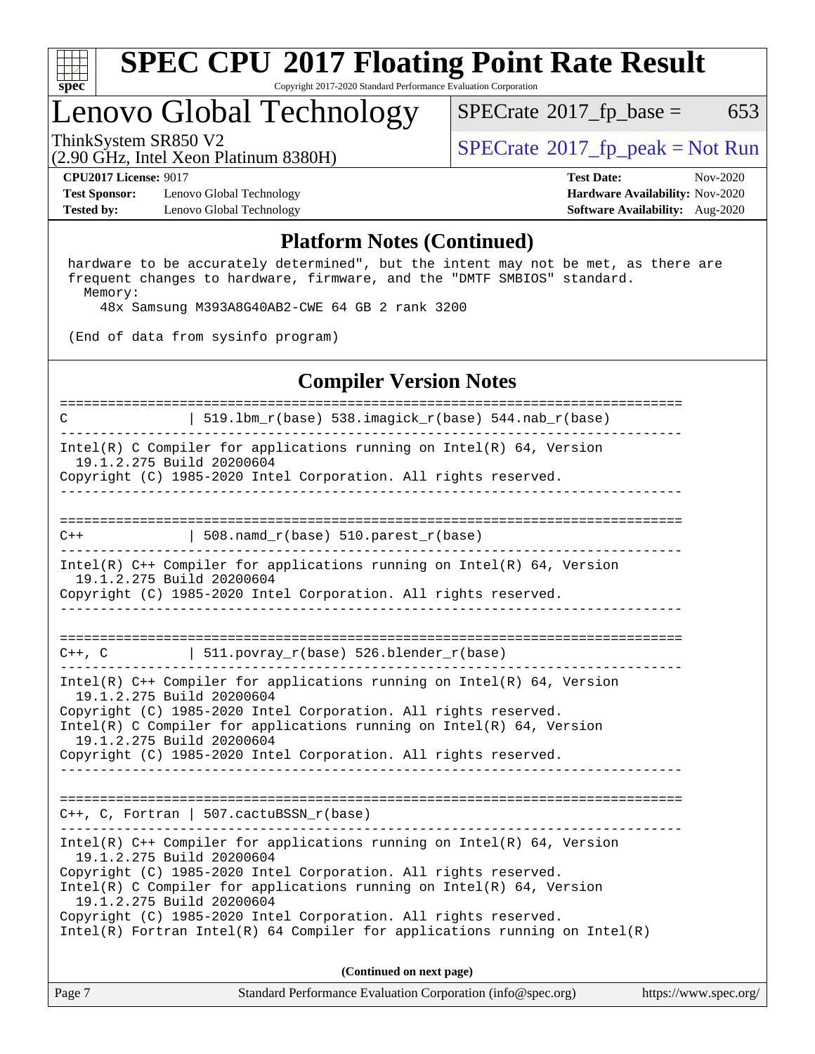

## Lenovo Global Technology

 $SPECTate$ <sup>®</sup>[2017\\_fp\\_base =](http://www.spec.org/auto/cpu2017/Docs/result-fields.html#SPECrate2017fpbase) 653

(2.90 GHz, Intel Xeon Platinum 8380H)

ThinkSystem SR850 V2<br>  $\begin{array}{c} \text{SPECTR} \\ \text{SPECTR} \\ \text{SPECTR} \end{array}$  [SPECrate](http://www.spec.org/auto/cpu2017/Docs/result-fields.html#SPECrate2017fppeak)®[2017\\_fp\\_peak = N](http://www.spec.org/auto/cpu2017/Docs/result-fields.html#SPECrate2017fppeak)ot Run

**[Test Sponsor:](http://www.spec.org/auto/cpu2017/Docs/result-fields.html#TestSponsor)** Lenovo Global Technology **[Hardware Availability:](http://www.spec.org/auto/cpu2017/Docs/result-fields.html#HardwareAvailability)** Nov-2020 **[Tested by:](http://www.spec.org/auto/cpu2017/Docs/result-fields.html#Testedby)** Lenovo Global Technology **[Software Availability:](http://www.spec.org/auto/cpu2017/Docs/result-fields.html#SoftwareAvailability)** Aug-2020

**[CPU2017 License:](http://www.spec.org/auto/cpu2017/Docs/result-fields.html#CPU2017License)** 9017 **[Test Date:](http://www.spec.org/auto/cpu2017/Docs/result-fields.html#TestDate)** Nov-2020

#### **[Platform Notes \(Continued\)](http://www.spec.org/auto/cpu2017/Docs/result-fields.html#PlatformNotes)**

 hardware to be accurately determined", but the intent may not be met, as there are frequent changes to hardware, firmware, and the "DMTF SMBIOS" standard. Memory:

48x Samsung M393A8G40AB2-CWE 64 GB 2 rank 3200

(End of data from sysinfo program)

### **[Compiler Version Notes](http://www.spec.org/auto/cpu2017/Docs/result-fields.html#CompilerVersionNotes)**

============================================================================== C  $| 519.1bm_r(base) 538.imagick_r(base) 544.nab_r(base)$ ------------------------------------------------------------------------------ Intel(R) C Compiler for applications running on  $Intel(R) 64$ , Version 19.1.2.275 Build 20200604 Copyright (C) 1985-2020 Intel Corporation. All rights reserved. ------------------------------------------------------------------------------ ==============================================================================  $C++$  | 508.namd\_r(base) 510.parest\_r(base) ------------------------------------------------------------------------------ Intel(R) C++ Compiler for applications running on Intel(R) 64, Version 19.1.2.275 Build 20200604 Copyright (C) 1985-2020 Intel Corporation. All rights reserved. ------------------------------------------------------------------------------ ==============================================================================  $C++$ ,  $C$  | 511.povray\_r(base) 526.blender\_r(base) ------------------------------------------------------------------------------ Intel(R) C++ Compiler for applications running on Intel(R) 64, Version 19.1.2.275 Build 20200604 Copyright (C) 1985-2020 Intel Corporation. All rights reserved. Intel(R) C Compiler for applications running on Intel(R) 64, Version 19.1.2.275 Build 20200604 Copyright (C) 1985-2020 Intel Corporation. All rights reserved. ------------------------------------------------------------------------------ ============================================================================== C++, C, Fortran | 507.cactuBSSN\_r(base) ------------------------------------------------------------------------------ Intel(R) C++ Compiler for applications running on Intel(R) 64, Version 19.1.2.275 Build 20200604 Copyright (C) 1985-2020 Intel Corporation. All rights reserved. Intel(R) C Compiler for applications running on Intel(R) 64, Version 19.1.2.275 Build 20200604 Copyright (C) 1985-2020 Intel Corporation. All rights reserved. Intel(R) Fortran Intel(R) 64 Compiler for applications running on Intel(R) **(Continued on next page)**

Page 7 Standard Performance Evaluation Corporation [\(info@spec.org\)](mailto:info@spec.org) <https://www.spec.org/>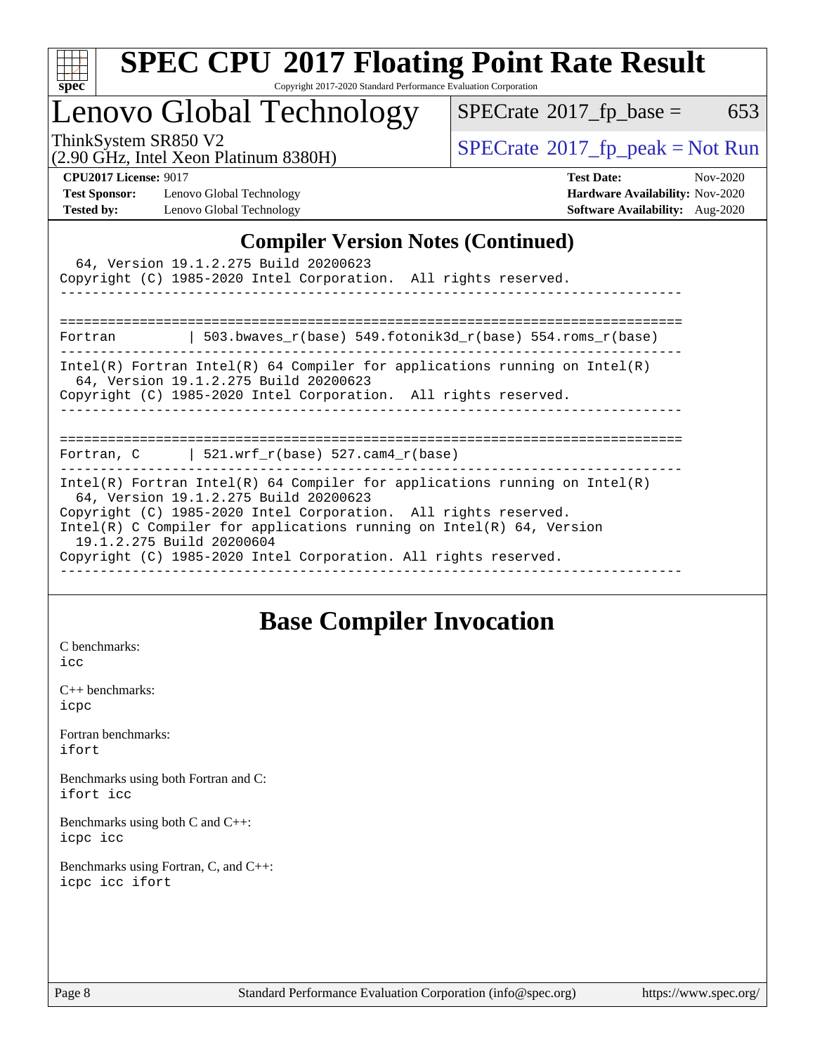

# **[SPEC CPU](http://www.spec.org/auto/cpu2017/Docs/result-fields.html#SPECCPU2017FloatingPointRateResult)[2017 Floating Point Rate Result](http://www.spec.org/auto/cpu2017/Docs/result-fields.html#SPECCPU2017FloatingPointRateResult)**

Copyright 2017-2020 Standard Performance Evaluation Corporation

## Lenovo Global Technology

 $SPECTate@2017_fp\_base = 653$ 

(2.90 GHz, Intel Xeon Platinum 8380H)

ThinkSystem SR850 V2<br>  $\begin{array}{c}\n\text{SPECrate} \textcirc 2017\_fp\_peak = Not Run \\
\text{SPECrate} \textcirc 2017\_fp\_peak = Not Run\n\end{array}$  $\begin{array}{c}\n\text{SPECrate} \textcirc 2017\_fp\_peak = Not Run \\
\text{SPECrate} \textcirc 2017\_fp\_peak = Not Run\n\end{array}$  $\begin{array}{c}\n\text{SPECrate} \textcirc 2017\_fp\_peak = Not Run \\
\text{SPECrate} \textcirc 2017\_fp\_peak = Not Run\n\end{array}$ 

**[Test Sponsor:](http://www.spec.org/auto/cpu2017/Docs/result-fields.html#TestSponsor)** Lenovo Global Technology **[Hardware Availability:](http://www.spec.org/auto/cpu2017/Docs/result-fields.html#HardwareAvailability)** Nov-2020 **[Tested by:](http://www.spec.org/auto/cpu2017/Docs/result-fields.html#Testedby)** Lenovo Global Technology **[Software Availability:](http://www.spec.org/auto/cpu2017/Docs/result-fields.html#SoftwareAvailability)** Aug-2020

**[CPU2017 License:](http://www.spec.org/auto/cpu2017/Docs/result-fields.html#CPU2017License)** 9017 **[Test Date:](http://www.spec.org/auto/cpu2017/Docs/result-fields.html#TestDate)** Nov-2020

#### **[Compiler Version Notes \(Continued\)](http://www.spec.org/auto/cpu2017/Docs/result-fields.html#CompilerVersionNotes)**

| 64, Version 19.1.2.275 Build 20200623<br>Copyright (C) 1985-2020 Intel Corporation. All rights reserved.                                                                                                                                                                                                                                                          |
|-------------------------------------------------------------------------------------------------------------------------------------------------------------------------------------------------------------------------------------------------------------------------------------------------------------------------------------------------------------------|
| Fortran $\vert$ 503.bwaves r(base) 549.fotonik3d r(base) 554.roms r(base)                                                                                                                                                                                                                                                                                         |
| $Intel(R)$ Fortran Intel(R) 64 Compiler for applications running on Intel(R)<br>64, Version 19.1.2.275 Build 20200623<br>Copyright (C) 1985-2020 Intel Corporation. All rights reserved.<br>-------------------------------------                                                                                                                                 |
| Fortran, C $\vert$ 521.wrf r(base) 527.cam4 r(base)                                                                                                                                                                                                                                                                                                               |
| Intel(R) Fortran Intel(R) 64 Compiler for applications running on Intel(R)<br>64, Version 19.1.2.275 Build 20200623<br>Copyright (C) 1985-2020 Intel Corporation. All rights reserved.<br>Intel(R) C Compiler for applications running on Intel(R) $64$ , Version<br>19.1.2.275 Build 20200604<br>Copyright (C) 1985-2020 Intel Corporation. All rights reserved. |

### **[Base Compiler Invocation](http://www.spec.org/auto/cpu2017/Docs/result-fields.html#BaseCompilerInvocation)**

[C benchmarks](http://www.spec.org/auto/cpu2017/Docs/result-fields.html#Cbenchmarks): [icc](http://www.spec.org/cpu2017/results/res2020q4/cpu2017-20201207-24527.flags.html#user_CCbase_intel_icc_66fc1ee009f7361af1fbd72ca7dcefbb700085f36577c54f309893dd4ec40d12360134090235512931783d35fd58c0460139e722d5067c5574d8eaf2b3e37e92)

[C++ benchmarks:](http://www.spec.org/auto/cpu2017/Docs/result-fields.html#CXXbenchmarks) [icpc](http://www.spec.org/cpu2017/results/res2020q4/cpu2017-20201207-24527.flags.html#user_CXXbase_intel_icpc_c510b6838c7f56d33e37e94d029a35b4a7bccf4766a728ee175e80a419847e808290a9b78be685c44ab727ea267ec2f070ec5dc83b407c0218cded6866a35d07)

[Fortran benchmarks](http://www.spec.org/auto/cpu2017/Docs/result-fields.html#Fortranbenchmarks): [ifort](http://www.spec.org/cpu2017/results/res2020q4/cpu2017-20201207-24527.flags.html#user_FCbase_intel_ifort_8111460550e3ca792625aed983ce982f94888b8b503583aa7ba2b8303487b4d8a21a13e7191a45c5fd58ff318f48f9492884d4413fa793fd88dd292cad7027ca)

[Benchmarks using both Fortran and C](http://www.spec.org/auto/cpu2017/Docs/result-fields.html#BenchmarksusingbothFortranandC): [ifort](http://www.spec.org/cpu2017/results/res2020q4/cpu2017-20201207-24527.flags.html#user_CC_FCbase_intel_ifort_8111460550e3ca792625aed983ce982f94888b8b503583aa7ba2b8303487b4d8a21a13e7191a45c5fd58ff318f48f9492884d4413fa793fd88dd292cad7027ca) [icc](http://www.spec.org/cpu2017/results/res2020q4/cpu2017-20201207-24527.flags.html#user_CC_FCbase_intel_icc_66fc1ee009f7361af1fbd72ca7dcefbb700085f36577c54f309893dd4ec40d12360134090235512931783d35fd58c0460139e722d5067c5574d8eaf2b3e37e92)

[Benchmarks using both C and C++](http://www.spec.org/auto/cpu2017/Docs/result-fields.html#BenchmarksusingbothCandCXX): [icpc](http://www.spec.org/cpu2017/results/res2020q4/cpu2017-20201207-24527.flags.html#user_CC_CXXbase_intel_icpc_c510b6838c7f56d33e37e94d029a35b4a7bccf4766a728ee175e80a419847e808290a9b78be685c44ab727ea267ec2f070ec5dc83b407c0218cded6866a35d07) [icc](http://www.spec.org/cpu2017/results/res2020q4/cpu2017-20201207-24527.flags.html#user_CC_CXXbase_intel_icc_66fc1ee009f7361af1fbd72ca7dcefbb700085f36577c54f309893dd4ec40d12360134090235512931783d35fd58c0460139e722d5067c5574d8eaf2b3e37e92)

[Benchmarks using Fortran, C, and C++:](http://www.spec.org/auto/cpu2017/Docs/result-fields.html#BenchmarksusingFortranCandCXX) [icpc](http://www.spec.org/cpu2017/results/res2020q4/cpu2017-20201207-24527.flags.html#user_CC_CXX_FCbase_intel_icpc_c510b6838c7f56d33e37e94d029a35b4a7bccf4766a728ee175e80a419847e808290a9b78be685c44ab727ea267ec2f070ec5dc83b407c0218cded6866a35d07) [icc](http://www.spec.org/cpu2017/results/res2020q4/cpu2017-20201207-24527.flags.html#user_CC_CXX_FCbase_intel_icc_66fc1ee009f7361af1fbd72ca7dcefbb700085f36577c54f309893dd4ec40d12360134090235512931783d35fd58c0460139e722d5067c5574d8eaf2b3e37e92) [ifort](http://www.spec.org/cpu2017/results/res2020q4/cpu2017-20201207-24527.flags.html#user_CC_CXX_FCbase_intel_ifort_8111460550e3ca792625aed983ce982f94888b8b503583aa7ba2b8303487b4d8a21a13e7191a45c5fd58ff318f48f9492884d4413fa793fd88dd292cad7027ca)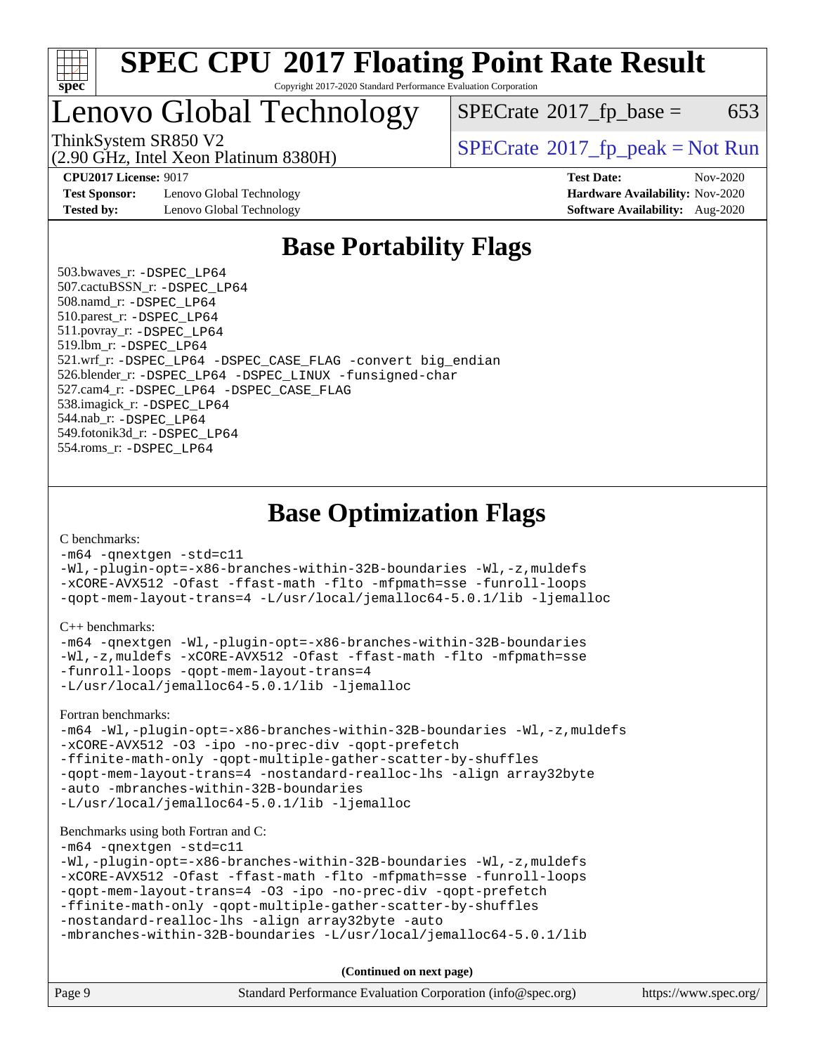

## Lenovo Global Technology

 $SPECTate$ <sup>®</sup>[2017\\_fp\\_base =](http://www.spec.org/auto/cpu2017/Docs/result-fields.html#SPECrate2017fpbase) 653

(2.90 GHz, Intel Xeon Platinum 8380H)

ThinkSystem SR850 V2  $\vert$  [SPECrate](http://www.spec.org/auto/cpu2017/Docs/result-fields.html#SPECrate2017fppeak)®[2017\\_fp\\_peak = N](http://www.spec.org/auto/cpu2017/Docs/result-fields.html#SPECrate2017fppeak)ot Run

**[Test Sponsor:](http://www.spec.org/auto/cpu2017/Docs/result-fields.html#TestSponsor)** Lenovo Global Technology **[Hardware Availability:](http://www.spec.org/auto/cpu2017/Docs/result-fields.html#HardwareAvailability)** Nov-2020 **[Tested by:](http://www.spec.org/auto/cpu2017/Docs/result-fields.html#Testedby)** Lenovo Global Technology **[Software Availability:](http://www.spec.org/auto/cpu2017/Docs/result-fields.html#SoftwareAvailability)** Aug-2020

**[CPU2017 License:](http://www.spec.org/auto/cpu2017/Docs/result-fields.html#CPU2017License)** 9017 **[Test Date:](http://www.spec.org/auto/cpu2017/Docs/result-fields.html#TestDate)** Nov-2020

### **[Base Portability Flags](http://www.spec.org/auto/cpu2017/Docs/result-fields.html#BasePortabilityFlags)**

 503.bwaves\_r: [-DSPEC\\_LP64](http://www.spec.org/cpu2017/results/res2020q4/cpu2017-20201207-24527.flags.html#suite_basePORTABILITY503_bwaves_r_DSPEC_LP64) 507.cactuBSSN\_r: [-DSPEC\\_LP64](http://www.spec.org/cpu2017/results/res2020q4/cpu2017-20201207-24527.flags.html#suite_basePORTABILITY507_cactuBSSN_r_DSPEC_LP64) 508.namd\_r: [-DSPEC\\_LP64](http://www.spec.org/cpu2017/results/res2020q4/cpu2017-20201207-24527.flags.html#suite_basePORTABILITY508_namd_r_DSPEC_LP64) 510.parest\_r: [-DSPEC\\_LP64](http://www.spec.org/cpu2017/results/res2020q4/cpu2017-20201207-24527.flags.html#suite_basePORTABILITY510_parest_r_DSPEC_LP64) 511.povray\_r: [-DSPEC\\_LP64](http://www.spec.org/cpu2017/results/res2020q4/cpu2017-20201207-24527.flags.html#suite_basePORTABILITY511_povray_r_DSPEC_LP64) 519.lbm\_r: [-DSPEC\\_LP64](http://www.spec.org/cpu2017/results/res2020q4/cpu2017-20201207-24527.flags.html#suite_basePORTABILITY519_lbm_r_DSPEC_LP64) 521.wrf\_r: [-DSPEC\\_LP64](http://www.spec.org/cpu2017/results/res2020q4/cpu2017-20201207-24527.flags.html#suite_basePORTABILITY521_wrf_r_DSPEC_LP64) [-DSPEC\\_CASE\\_FLAG](http://www.spec.org/cpu2017/results/res2020q4/cpu2017-20201207-24527.flags.html#b521.wrf_r_baseCPORTABILITY_DSPEC_CASE_FLAG) [-convert big\\_endian](http://www.spec.org/cpu2017/results/res2020q4/cpu2017-20201207-24527.flags.html#user_baseFPORTABILITY521_wrf_r_convert_big_endian_c3194028bc08c63ac5d04de18c48ce6d347e4e562e8892b8bdbdc0214820426deb8554edfa529a3fb25a586e65a3d812c835984020483e7e73212c4d31a38223) 526.blender\_r: [-DSPEC\\_LP64](http://www.spec.org/cpu2017/results/res2020q4/cpu2017-20201207-24527.flags.html#suite_basePORTABILITY526_blender_r_DSPEC_LP64) [-DSPEC\\_LINUX](http://www.spec.org/cpu2017/results/res2020q4/cpu2017-20201207-24527.flags.html#b526.blender_r_baseCPORTABILITY_DSPEC_LINUX) [-funsigned-char](http://www.spec.org/cpu2017/results/res2020q4/cpu2017-20201207-24527.flags.html#user_baseCPORTABILITY526_blender_r_force_uchar_40c60f00ab013830e2dd6774aeded3ff59883ba5a1fc5fc14077f794d777847726e2a5858cbc7672e36e1b067e7e5c1d9a74f7176df07886a243d7cc18edfe67) 527.cam4\_r: [-DSPEC\\_LP64](http://www.spec.org/cpu2017/results/res2020q4/cpu2017-20201207-24527.flags.html#suite_basePORTABILITY527_cam4_r_DSPEC_LP64) [-DSPEC\\_CASE\\_FLAG](http://www.spec.org/cpu2017/results/res2020q4/cpu2017-20201207-24527.flags.html#b527.cam4_r_baseCPORTABILITY_DSPEC_CASE_FLAG) 538.imagick\_r: [-DSPEC\\_LP64](http://www.spec.org/cpu2017/results/res2020q4/cpu2017-20201207-24527.flags.html#suite_basePORTABILITY538_imagick_r_DSPEC_LP64) 544.nab\_r: [-DSPEC\\_LP64](http://www.spec.org/cpu2017/results/res2020q4/cpu2017-20201207-24527.flags.html#suite_basePORTABILITY544_nab_r_DSPEC_LP64) 549.fotonik3d\_r: [-DSPEC\\_LP64](http://www.spec.org/cpu2017/results/res2020q4/cpu2017-20201207-24527.flags.html#suite_basePORTABILITY549_fotonik3d_r_DSPEC_LP64) 554.roms\_r: [-DSPEC\\_LP64](http://www.spec.org/cpu2017/results/res2020q4/cpu2017-20201207-24527.flags.html#suite_basePORTABILITY554_roms_r_DSPEC_LP64)

### **[Base Optimization Flags](http://www.spec.org/auto/cpu2017/Docs/result-fields.html#BaseOptimizationFlags)**

[C benchmarks](http://www.spec.org/auto/cpu2017/Docs/result-fields.html#Cbenchmarks):

[-m64](http://www.spec.org/cpu2017/results/res2020q4/cpu2017-20201207-24527.flags.html#user_CCbase_m64-icc) [-qnextgen](http://www.spec.org/cpu2017/results/res2020q4/cpu2017-20201207-24527.flags.html#user_CCbase_f-qnextgen) [-std=c11](http://www.spec.org/cpu2017/results/res2020q4/cpu2017-20201207-24527.flags.html#user_CCbase_std-icc-std_0e1c27790398a4642dfca32ffe6c27b5796f9c2d2676156f2e42c9c44eaad0c049b1cdb667a270c34d979996257aeb8fc440bfb01818dbc9357bd9d174cb8524) [-Wl,-plugin-opt=-x86-branches-within-32B-boundaries](http://www.spec.org/cpu2017/results/res2020q4/cpu2017-20201207-24527.flags.html#user_CCbase_f-x86-branches-within-32B-boundaries_0098b4e4317ae60947b7b728078a624952a08ac37a3c797dfb4ffeb399e0c61a9dd0f2f44ce917e9361fb9076ccb15e7824594512dd315205382d84209e912f3) [-Wl,-z,muldefs](http://www.spec.org/cpu2017/results/res2020q4/cpu2017-20201207-24527.flags.html#user_CCbase_link_force_multiple1_b4cbdb97b34bdee9ceefcfe54f4c8ea74255f0b02a4b23e853cdb0e18eb4525ac79b5a88067c842dd0ee6996c24547a27a4b99331201badda8798ef8a743f577) [-xCORE-AVX512](http://www.spec.org/cpu2017/results/res2020q4/cpu2017-20201207-24527.flags.html#user_CCbase_f-xCORE-AVX512) [-Ofast](http://www.spec.org/cpu2017/results/res2020q4/cpu2017-20201207-24527.flags.html#user_CCbase_f-Ofast) [-ffast-math](http://www.spec.org/cpu2017/results/res2020q4/cpu2017-20201207-24527.flags.html#user_CCbase_f-ffast-math) [-flto](http://www.spec.org/cpu2017/results/res2020q4/cpu2017-20201207-24527.flags.html#user_CCbase_f-flto) [-mfpmath=sse](http://www.spec.org/cpu2017/results/res2020q4/cpu2017-20201207-24527.flags.html#user_CCbase_f-mfpmath_70eb8fac26bde974f8ab713bc9086c5621c0b8d2f6c86f38af0bd7062540daf19db5f3a066d8c6684be05d84c9b6322eb3b5be6619d967835195b93d6c02afa1) [-funroll-loops](http://www.spec.org/cpu2017/results/res2020q4/cpu2017-20201207-24527.flags.html#user_CCbase_f-funroll-loops) [-qopt-mem-layout-trans=4](http://www.spec.org/cpu2017/results/res2020q4/cpu2017-20201207-24527.flags.html#user_CCbase_f-qopt-mem-layout-trans_fa39e755916c150a61361b7846f310bcdf6f04e385ef281cadf3647acec3f0ae266d1a1d22d972a7087a248fd4e6ca390a3634700869573d231a252c784941a8) [-L/usr/local/jemalloc64-5.0.1/lib](http://www.spec.org/cpu2017/results/res2020q4/cpu2017-20201207-24527.flags.html#user_CCbase_jemalloc_link_path64_1_cc289568b1a6c0fd3b62c91b824c27fcb5af5e8098e6ad028160d21144ef1b8aef3170d2acf0bee98a8da324cfe4f67d0a3d0c4cc4673d993d694dc2a0df248b) [-ljemalloc](http://www.spec.org/cpu2017/results/res2020q4/cpu2017-20201207-24527.flags.html#user_CCbase_jemalloc_link_lib_d1249b907c500fa1c0672f44f562e3d0f79738ae9e3c4a9c376d49f265a04b9c99b167ecedbf6711b3085be911c67ff61f150a17b3472be731631ba4d0471706)

[C++ benchmarks:](http://www.spec.org/auto/cpu2017/Docs/result-fields.html#CXXbenchmarks)

```
-m64 -qnextgen -Wl,-plugin-opt=-x86-branches-within-32B-boundaries
-Wl,-z,muldefs -xCORE-AVX512 -Ofast -ffast-math -flto -mfpmath=sse
-funroll-loops -qopt-mem-layout-trans=4
-L/usr/local/jemalloc64-5.0.1/lib -ljemalloc
```
[Fortran benchmarks](http://www.spec.org/auto/cpu2017/Docs/result-fields.html#Fortranbenchmarks):

```
-m64 -Wl,-plugin-opt=-x86-branches-within-32B-boundaries -Wl,-z,muldefs
-xCORE-AVX512 -O3 -ipo -no-prec-div -qopt-prefetch
-ffinite-math-only -qopt-multiple-gather-scatter-by-shuffles
-qopt-mem-layout-trans=4 -nostandard-realloc-lhs -align array32byte
-auto -mbranches-within-32B-boundaries
-L/usr/local/jemalloc64-5.0.1/lib -ljemalloc
```
#### [Benchmarks using both Fortran and C](http://www.spec.org/auto/cpu2017/Docs/result-fields.html#BenchmarksusingbothFortranandC):

[-m64](http://www.spec.org/cpu2017/results/res2020q4/cpu2017-20201207-24527.flags.html#user_CC_FCbase_m64-icc) [-qnextgen](http://www.spec.org/cpu2017/results/res2020q4/cpu2017-20201207-24527.flags.html#user_CC_FCbase_f-qnextgen) [-std=c11](http://www.spec.org/cpu2017/results/res2020q4/cpu2017-20201207-24527.flags.html#user_CC_FCbase_std-icc-std_0e1c27790398a4642dfca32ffe6c27b5796f9c2d2676156f2e42c9c44eaad0c049b1cdb667a270c34d979996257aeb8fc440bfb01818dbc9357bd9d174cb8524)

```
-Wl,-plugin-opt=-x86-branches-within-32B-boundaries -Wl,-z,muldefs
-xCORE-AVX512 -Ofast -ffast-math -flto -mfpmath=sse -funroll-loops
-qopt-mem-layout-trans=4 -O3 -ipo -no-prec-div -qopt-prefetch
-ffinite-math-only -qopt-multiple-gather-scatter-by-shuffles
-nostandard-realloc-lhs -align array32byte -auto
```

```
-mbranches-within-32B-boundaries -L/usr/local/jemalloc64-5.0.1/lib
```
**(Continued on next page)**

| Page 9 | Standard Performance Evaluation Corporation (info@spec.org) | https://www.spec.org/ |
|--------|-------------------------------------------------------------|-----------------------|
|        |                                                             |                       |